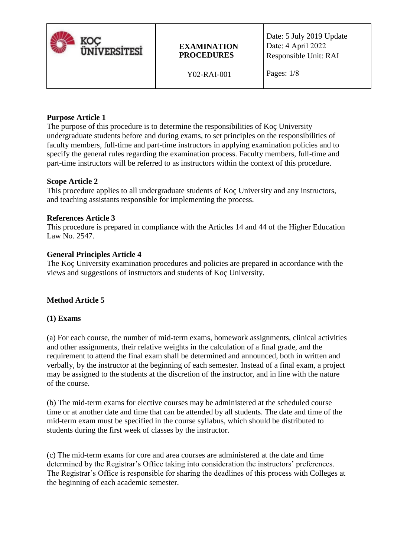

## **EXAMINATION PROCEDURES**

Date: 5 July 2019 Update Date: 4 April 2022 Responsible Unit: RAI

Y02-RAI-001

# **Purpose Article 1**

The purpose of this procedure is to determine the responsibilities of Koç University undergraduate students before and during exams, to set principles on the responsibilities of faculty members, full-time and part-time instructors in applying examination policies and to specify the general rules regarding the examination process. Faculty members, full-time and part-time instructors will be referred to as instructors within the context of this procedure.

### **Scope Article 2**

This procedure applies to all undergraduate students of Koç University and any instructors, and teaching assistants responsible for implementing the process.

### **References Article 3**

This procedure is prepared in compliance with the Articles 14 and 44 of the Higher Education Law No. 2547.

### **General Principles Article 4**

The Koç University examination procedures and policies are prepared in accordance with the views and suggestions of instructors and students of Koç University.

# **Method Article 5**

### **(1) Exams**

(a) For each course, the number of mid-term exams, homework assignments, clinical activities and other assignments, their relative weights in the calculation of a final grade, and the requirement to attend the final exam shall be determined and announced, both in written and verbally, by the instructor at the beginning of each semester. Instead of a final exam, a project may be assigned to the students at the discretion of the instructor, and in line with the nature of the course.

(b) The mid-term exams for elective courses may be administered at the scheduled course time or at another date and time that can be attended by all students. The date and time of the mid-term exam must be specified in the course syllabus, which should be distributed to students during the first week of classes by the instructor.

(c) The mid-term exams for core and area courses are administered at the date and time determined by the Registrar's Office taking into consideration the instructors' preferences. The Registrar's Office is responsible for sharing the deadlines of this process with Colleges at the beginning of each academic semester.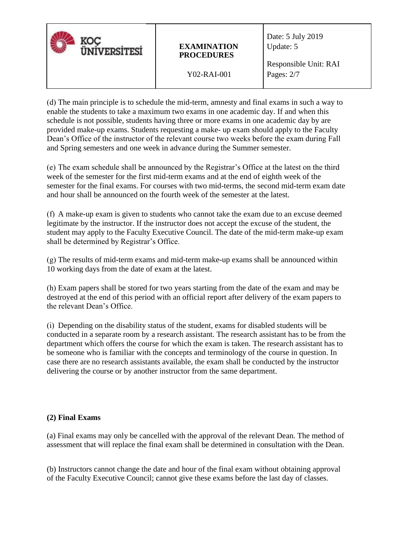| <b><i>ÜNIVERSITESI</i></b> | <b>EXAMINATION</b><br><b>PROCEDURES</b> | Date: 5 July 2019<br>Update: 5        |
|----------------------------|-----------------------------------------|---------------------------------------|
|                            | Y02-RAI-001                             | Responsible Unit: RAI<br>Pages: $2/7$ |

(d) The main principle is to schedule the mid-term, amnesty and final exams in such a way to enable the students to take a maximum two exams in one academic day. If and when this schedule is not possible, students having three or more exams in one academic day by are provided make-up exams. Students requesting a make- up exam should apply to the Faculty Dean's Office of the instructor of the relevant course two weeks before the exam during Fall and Spring semesters and one week in advance during the Summer semester.

(e) The exam schedule shall be announced by the Registrar's Office at the latest on the third week of the semester for the first mid-term exams and at the end of eighth week of the semester for the final exams. For courses with two mid-terms, the second mid-term exam date and hour shall be announced on the fourth week of the semester at the latest.

(f) A make-up exam is given to students who cannot take the exam due to an excuse deemed legitimate by the instructor. If the instructor does not accept the excuse of the student, the student may apply to the Faculty Executive Council. The date of the mid-term make-up exam shall be determined by Registrar's Office.

(g) The results of mid-term exams and mid-term make-up exams shall be announced within 10 working days from the date of exam at the latest.

(h) Exam papers shall be stored for two years starting from the date of the exam and may be destroyed at the end of this period with an official report after delivery of the exam papers to the relevant Dean's Office.

(i) Depending on the disability status of the student, exams for disabled students will be conducted in a separate room by a research assistant. The research assistant has to be from the department which offers the course for which the exam is taken. The research assistant has to be someone who is familiar with the concepts and terminology of the course in question. In case there are no research assistants available, the exam shall be conducted by the instructor delivering the course or by another instructor from the same department.

### **(2) Final Exams**

(a) Final exams may only be cancelled with the approval of the relevant Dean. The method of assessment that will replace the final exam shall be determined in consultation with the Dean.

(b) Instructors cannot change the date and hour of the final exam without obtaining approval of the Faculty Executive Council; cannot give these exams before the last day of classes.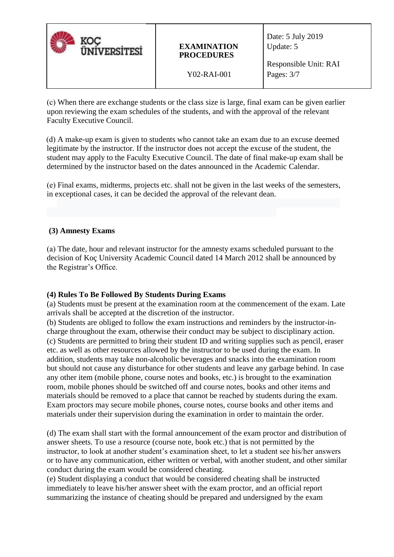| <b>ÜNIVERSITESI</b> | <b>EXAMINATION</b><br><b>PROCEDURES</b> | Date: 5 July 2019<br>Update: 5      |
|---------------------|-----------------------------------------|-------------------------------------|
|                     | Y02-RAI-001                             | Responsible Unit: RAI<br>Pages: 3/7 |

(c) When there are exchange students or the class size is large, final exam can be given earlier upon reviewing the exam schedules of the students, and with the approval of the relevant Faculty Executive Council.

(d) A make-up exam is given to students who cannot take an exam due to an excuse deemed legitimate by the instructor. If the instructor does not accept the excuse of the student, the student may apply to the Faculty Executive Council. The date of final make-up exam shall be determined by the instructor based on the dates announced in the Academic Calendar.

(e) Final exams, midterms, projects etc. shall not be given in the last weeks of the semesters, in exceptional cases, it can be decided the approval of the relevant dean.

### **(3) Amnesty Exams**

(a) The date, hour and relevant instructor for the amnesty exams scheduled pursuant to the decision of Koç University Academic Council dated 14 March 2012 shall be announced by the Registrar's Office.

#### **(4) Rules To Be Followed By Students During Exams**

(a) Students must be present at the examination room at the commencement of the exam. Late arrivals shall be accepted at the discretion of the instructor.

(b) Students are obliged to follow the exam instructions and reminders by the instructor-incharge throughout the exam, otherwise their conduct may be subject to disciplinary action. (c) Students are permitted to bring their student ID and writing supplies such as pencil, eraser etc. as well as other resources allowed by the instructor to be used during the exam. In addition, students may take non-alcoholic beverages and snacks into the examination room but should not cause any disturbance for other students and leave any garbage behind. In case any other item (mobile phone, course notes and books, etc.) is brought to the examination room, mobile phones should be switched off and course notes, books and other items and materials should be removed to a place that cannot be reached by students during the exam. Exam proctors may secure mobile phones, course notes, course books and other items and materials under their supervision during the examination in order to maintain the order.

(d) The exam shall start with the formal announcement of the exam proctor and distribution of answer sheets. To use a resource (course note, book etc.) that is not permitted by the instructor, to look at another student's examination sheet, to let a student see his/her answers or to have any communication, either written or verbal, with another student, and other similar conduct during the exam would be considered cheating.

(e) Student displaying a conduct that would be considered cheating shall be instructed immediately to leave his/her answer sheet with the exam proctor, and an official report summarizing the instance of cheating should be prepared and undersigned by the exam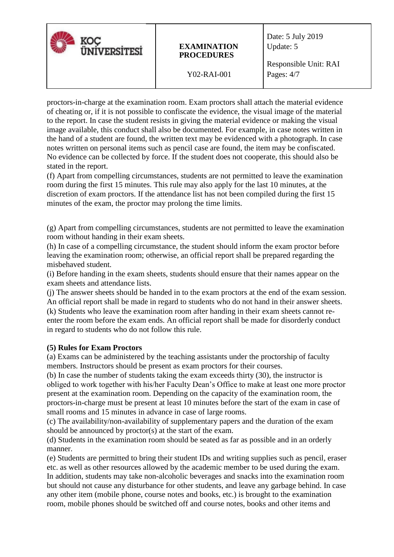| <b>ÜNIVERSITESI</b> | <b>EXAMINATION</b><br><b>PROCEDURES</b> | Date: 5 July 2019<br>Update: 5        |
|---------------------|-----------------------------------------|---------------------------------------|
|                     | Y02-RAI-001                             | Responsible Unit: RAI<br>Pages: $4/7$ |

proctors-in-charge at the examination room. Exam proctors shall attach the material evidence of cheating or, if it is not possible to confiscate the evidence, the visual image of the material to the report. In case the student resists in giving the material evidence or making the visual image available, this conduct shall also be documented. For example, in case notes written in the hand of a student are found, the written text may be evidenced with a photograph. In case notes written on personal items such as pencil case are found, the item may be confiscated. No evidence can be collected by force. If the student does not cooperate, this should also be stated in the report.

(f) Apart from compelling circumstances, students are not permitted to leave the examination room during the first 15 minutes. This rule may also apply for the last 10 minutes, at the discretion of exam proctors. If the attendance list has not been compiled during the first 15 minutes of the exam, the proctor may prolong the time limits.

(g) Apart from compelling circumstances, students are not permitted to leave the examination room without handing in their exam sheets.

(h) In case of a compelling circumstance, the student should inform the exam proctor before leaving the examination room; otherwise, an official report shall be prepared regarding the misbehaved student.

(i) Before handing in the exam sheets, students should ensure that their names appear on the exam sheets and attendance lists.

(j) The answer sheets should be handed in to the exam proctors at the end of the exam session. An official report shall be made in regard to students who do not hand in their answer sheets. (k) Students who leave the examination room after handing in their exam sheets cannot reenter the room before the exam ends. An official report shall be made for disorderly conduct in regard to students who do not follow this rule.

### **(5) Rules for Exam Proctors**

(a) Exams can be administered by the teaching assistants under the proctorship of faculty members. Instructors should be present as exam proctors for their courses.

(b) In case the number of students taking the exam exceeds thirty (30), the instructor is obliged to work together with his/her Faculty Dean's Office to make at least one more proctor present at the examination room. Depending on the capacity of the examination room, the proctors-in-charge must be present at least 10 minutes before the start of the exam in case of small rooms and 15 minutes in advance in case of large rooms.

(c) The availability/non-availability of supplementary papers and the duration of the exam should be announced by proctor(s) at the start of the exam.

(d) Students in the examination room should be seated as far as possible and in an orderly manner.

(e) Students are permitted to bring their student IDs and writing supplies such as pencil, eraser etc. as well as other resources allowed by the academic member to be used during the exam. In addition, students may take non-alcoholic beverages and snacks into the examination room but should not cause any disturbance for other students, and leave any garbage behind. In case any other item (mobile phone, course notes and books, etc.) is brought to the examination room, mobile phones should be switched off and course notes, books and other items and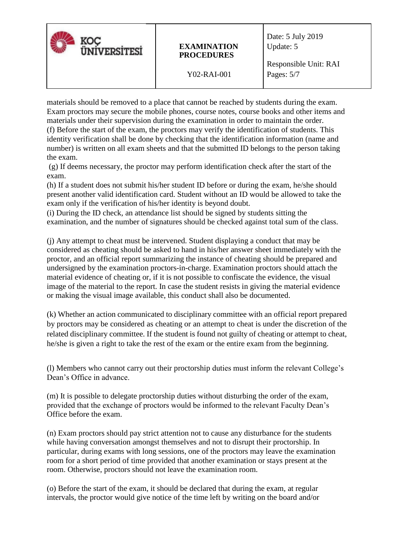| <b><i>INIVERSITESI</i></b> | <b>EXAMINATION</b><br><b>PROCEDURES</b> | Date: 5 July 2019<br>Update: 5        |
|----------------------------|-----------------------------------------|---------------------------------------|
|                            | Y02-RAI-001                             | Responsible Unit: RAI<br>Pages: $5/7$ |

materials should be removed to a place that cannot be reached by students during the exam. Exam proctors may secure the mobile phones, course notes, course books and other items and materials under their supervision during the examination in order to maintain the order. (f) Before the start of the exam, the proctors may verify the identification of students. This identity verification shall be done by checking that the identification information (name and number) is written on all exam sheets and that the submitted ID belongs to the person taking the exam.

(g) If deems necessary, the proctor may perform identification check after the start of the exam.

(h) If a student does not submit his/her student ID before or during the exam, he/she should present another valid identification card. Student without an ID would be allowed to take the exam only if the verification of his/her identity is beyond doubt.

(i) During the ID check, an attendance list should be signed by students sitting the examination, and the number of signatures should be checked against total sum of the class.

(j) Any attempt to cheat must be intervened. Student displaying a conduct that may be considered as cheating should be asked to hand in his/her answer sheet immediately with the proctor, and an official report summarizing the instance of cheating should be prepared and undersigned by the examination proctors-in-charge. Examination proctors should attach the material evidence of cheating or, if it is not possible to confiscate the evidence, the visual image of the material to the report. In case the student resists in giving the material evidence or making the visual image available, this conduct shall also be documented.

(k) Whether an action communicated to disciplinary committee with an official report prepared by proctors may be considered as cheating or an attempt to cheat is under the discretion of the related disciplinary committee. If the student is found not guilty of cheating or attempt to cheat, he/she is given a right to take the rest of the exam or the entire exam from the beginning.

(l) Members who cannot carry out their proctorship duties must inform the relevant College's Dean's Office in advance.

(m) It is possible to delegate proctorship duties without disturbing the order of the exam, provided that the exchange of proctors would be informed to the relevant Faculty Dean's Office before the exam.

(n) Exam proctors should pay strict attention not to cause any disturbance for the students while having conversation amongst themselves and not to disrupt their proctorship. In particular, during exams with long sessions, one of the proctors may leave the examination room for a short period of time provided that another examination or stays present at the room. Otherwise, proctors should not leave the examination room.

(o) Before the start of the exam, it should be declared that during the exam, at regular intervals, the proctor would give notice of the time left by writing on the board and/or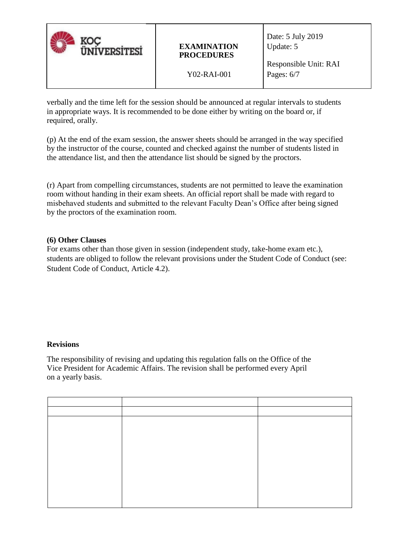| <b><i>IINIVERSITESI</i></b> | <b>EXAMINATION</b><br><b>PROCEDURES</b> | Date: 5 July 2019<br>Update: 5        |
|-----------------------------|-----------------------------------------|---------------------------------------|
|                             | Y02-RAI-001                             | Responsible Unit: RAI<br>Pages: $6/7$ |

verbally and the time left for the session should be announced at regular intervals to students in appropriate ways. It is recommended to be done either by writing on the board or, if required, orally.

(p) At the end of the exam session, the answer sheets should be arranged in the way specified by the instructor of the course, counted and checked against the number of students listed in the attendance list, and then the attendance list should be signed by the proctors.

(r) Apart from compelling circumstances, students are not permitted to leave the examination room without handing in their exam sheets. An official report shall be made with regard to misbehaved students and submitted to the relevant Faculty Dean's Office after being signed by the proctors of the examination room.

### **(6) Other Clauses**

For exams other than those given in session (independent study, take-home exam etc.), students are obliged to follow the relevant provisions under the Student Code of Conduct (see: Student Code of Conduct, Article 4.2).

### **Revisions**

The responsibility of revising and updating this regulation falls on the Office of the Vice President for Academic Affairs. The revision shall be performed every April on a yearly basis.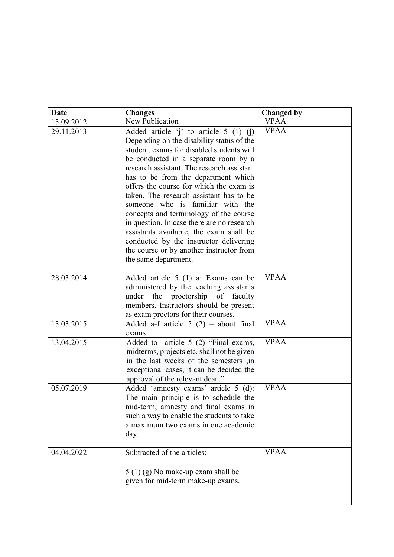| <b>Date</b> | <b>Changes</b>                                                                                                                                                                                                                                                                                                                                                                                                                                                                                                                                                                                                                            | <b>Changed by</b> |
|-------------|-------------------------------------------------------------------------------------------------------------------------------------------------------------------------------------------------------------------------------------------------------------------------------------------------------------------------------------------------------------------------------------------------------------------------------------------------------------------------------------------------------------------------------------------------------------------------------------------------------------------------------------------|-------------------|
| 13.09.2012  | New Publication                                                                                                                                                                                                                                                                                                                                                                                                                                                                                                                                                                                                                           | <b>VPAA</b>       |
| 29.11.2013  | Added article $i'$ to article 5 (1) (j)<br>Depending on the disability status of the<br>student, exams for disabled students will<br>be conducted in a separate room by a<br>research assistant. The research assistant<br>has to be from the department which<br>offers the course for which the exam is<br>taken. The research assistant has to be<br>someone who is familiar with the<br>concepts and terminology of the course<br>in question. In case there are no research<br>assistants available, the exam shall be<br>conducted by the instructor delivering<br>the course or by another instructor from<br>the same department. | <b>VPAA</b>       |
| 28.03.2014  | Added article 5 (1) a: Exams can be<br>administered by the teaching assistants<br>proctorship of faculty<br>under<br>the<br>members. Instructors should be present<br>as exam proctors for their courses.                                                                                                                                                                                                                                                                                                                                                                                                                                 | <b>VPAA</b>       |
| 13.03.2015  | Added a-f article $5(2)$ – about final<br>exams                                                                                                                                                                                                                                                                                                                                                                                                                                                                                                                                                                                           | <b>VPAA</b>       |
| 13.04.2015  | Added to article 5 (2) "Final exams,<br>midterms, projects etc. shall not be given<br>in the last weeks of the semesters ,in<br>exceptional cases, it can be decided the<br>approval of the relevant dean."                                                                                                                                                                                                                                                                                                                                                                                                                               | <b>VPAA</b>       |
| 05.07.2019  | Added 'amnesty exams' article 5 (d):<br>The main principle is to schedule the<br>mid-term, amnesty and final exams in<br>such a way to enable the students to take<br>a maximum two exams in one academic<br>day.                                                                                                                                                                                                                                                                                                                                                                                                                         | <b>VPAA</b>       |
| 04.04.2022  | Subtracted of the articles;<br>$5(1)(g)$ No make-up exam shall be<br>given for mid-term make-up exams.                                                                                                                                                                                                                                                                                                                                                                                                                                                                                                                                    | <b>VPAA</b>       |